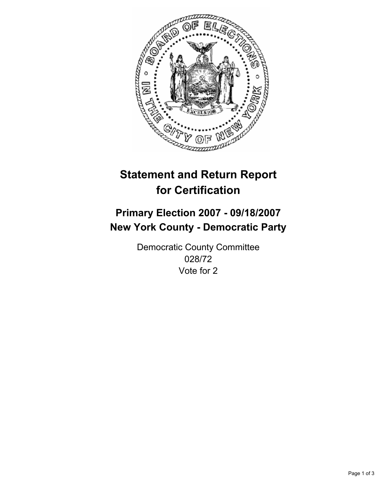

# **Statement and Return Report for Certification**

## **Primary Election 2007 - 09/18/2007 New York County - Democratic Party**

Democratic County Committee 028/72 Vote for 2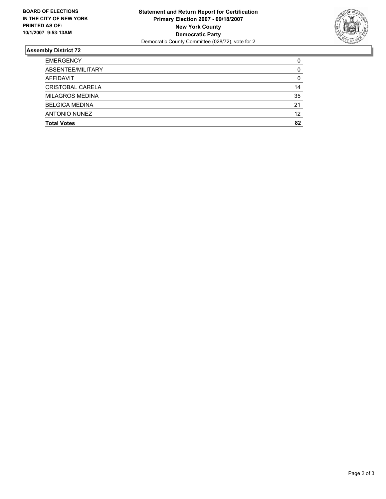

#### **Assembly District 72**

| <b>EMERGENCY</b>       | C  |
|------------------------|----|
| ABSENTEE/MILITARY      |    |
| AFFIDAVIT              | 0  |
| CRISTOBAL CARELA       | 14 |
| <b>MILAGROS MEDINA</b> | 35 |
| <b>BELGICA MEDINA</b>  | 21 |
| <b>ANTONIO NUNEZ</b>   | 12 |
| <b>Total Votes</b>     | 82 |